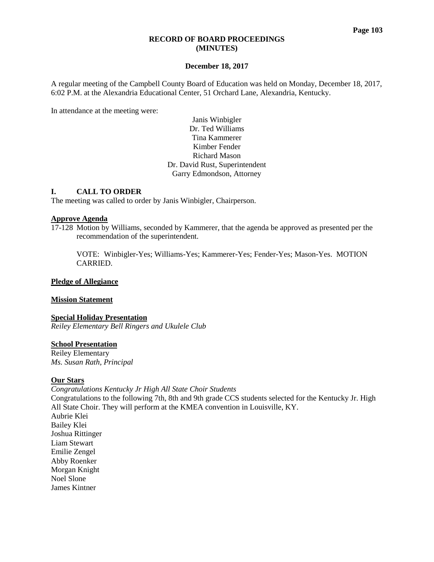#### **RECORD OF BOARD PROCEEDINGS (MINUTES)**

## **December 18, 2017**

A regular meeting of the Campbell County Board of Education was held on Monday, December 18, 2017, 6:02 P.M. at the Alexandria Educational Center, 51 Orchard Lane, Alexandria, Kentucky.

In attendance at the meeting were:

Janis Winbigler Dr. Ted Williams Tina Kammerer Kimber Fender Richard Mason Dr. David Rust, Superintendent Garry Edmondson, Attorney

## **I. CALL TO ORDER**

The meeting was called to order by Janis Winbigler, Chairperson.

#### **Approve Agenda**

17-128 Motion by Williams, seconded by Kammerer, that the agenda be approved as presented per the recommendation of the superintendent.

VOTE: Winbigler-Yes; Williams-Yes; Kammerer-Yes; Fender-Yes; Mason-Yes. MOTION CARRIED.

# **Pledge of Allegiance**

#### **Mission Statement**

#### **Special Holiday Presentation**

*Reiley Elementary Bell Ringers and Ukulele Club*

## **School Presentation**

Reiley Elementary *Ms. Susan Rath, Principal*

#### **Our Stars**

*Congratulations Kentucky Jr High All State Choir Students* 

Congratulations to the following 7th, 8th and 9th grade CCS students selected for the Kentucky Jr. High All State Choir. They will perform at the KMEA convention in Louisville, KY. Aubrie Klei Bailey Klei Joshua Rittinger Liam Stewart Emilie Zengel Abby Roenker Morgan Knight Noel Slone James Kintner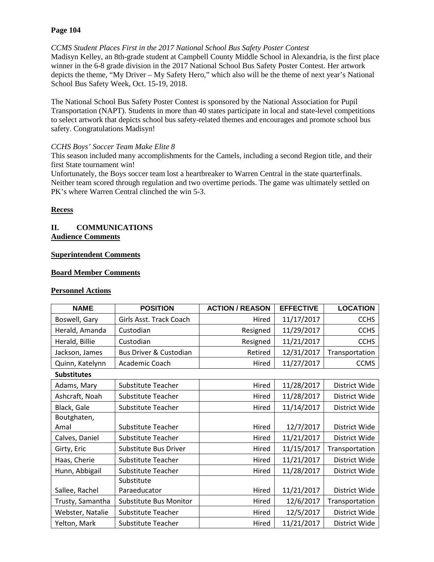# **Page 104**

# *CCMS Student Places First in the 2017 National School Bus Safety Poster Contest*

Madisyn Kelley, an 8th-grade student at Campbell County Middle School in Alexandria, is the first place winner in the 6-8 grade division in the 2017 National School Bus Safety Poster Contest. Her artwork depicts the theme, "My Driver – My Safety Hero," which also will be the theme of next year's National School Bus Safety Week, Oct. 15-19, 2018.

The National School Bus Safety Poster Contest is sponsored by the National Association for Pupil Transportation (NAPT). Students in more than 40 states participate in local and state-level competitions to select artwork that depicts school bus safety-related themes and encourages and promote school bus safety. Congratulations Madisyn!

## *CCHS Boys' Soccer Team Make Elite 8*

This season included many accomplishments for the Camels, including a second Region title, and their first State tournament win!

Unfortunately, the Boys soccer team lost a heartbreaker to Warren Central in the state quarterfinals. Neither team scored through regulation and two overtime periods. The game was ultimately settled on PK's where Warren Central clinched the win 5-3.

# **Recess**

## **II. COMMUNICATIONS Audience Comments**

# **Superintendent Comments**

## **Board Member Comments**

# **Personnel Actions**

| <b>NAME</b>        | <b>POSITION</b>                   | <b>ACTION / REASON</b> | <b>EFFECTIVE</b> | <b>LOCATION</b> |  |  |  |  |
|--------------------|-----------------------------------|------------------------|------------------|-----------------|--|--|--|--|
| Boswell, Gary      | Girls Asst. Track Coach           | Hired                  | 11/17/2017       | <b>CCHS</b>     |  |  |  |  |
| Herald, Amanda     | Custodian                         | Resigned               | 11/29/2017       | <b>CCHS</b>     |  |  |  |  |
| Herald, Billie     | Custodian                         | Resigned               | 11/21/2017       | <b>CCHS</b>     |  |  |  |  |
| Jackson, James     | <b>Bus Driver &amp; Custodian</b> | Retired                | 12/31/2017       | Transportation  |  |  |  |  |
| Quinn, Katelynn    | Academic Coach                    | Hired                  | 11/27/2017       | <b>CCMS</b>     |  |  |  |  |
| <b>Substitutes</b> |                                   |                        |                  |                 |  |  |  |  |
| Adams, Mary        | <b>Substitute Teacher</b>         | Hired                  | 11/28/2017       | District Wide   |  |  |  |  |
| Ashcraft, Noah     | <b>Substitute Teacher</b>         | Hired                  | 11/28/2017       | District Wide   |  |  |  |  |
| Black, Gale        | <b>Substitute Teacher</b>         | Hired                  | 11/14/2017       | District Wide   |  |  |  |  |
| Boutghaten,        |                                   |                        |                  |                 |  |  |  |  |
| Amal               | Substitute Teacher                | Hired                  | 12/7/2017        | District Wide   |  |  |  |  |
| Calves, Daniel     | Substitute Teacher                | Hired                  | 11/21/2017       | District Wide   |  |  |  |  |
| Girty, Eric        | Substitute Bus Driver             | Hired                  | 11/15/2017       | Transportation  |  |  |  |  |
| Haas, Cherie       | <b>Substitute Teacher</b>         | Hired                  | 11/21/2017       | District Wide   |  |  |  |  |
| Hunn, Abbigail     | Substitute Teacher                | Hired                  | 11/28/2017       | District Wide   |  |  |  |  |
|                    | Substitute                        |                        |                  |                 |  |  |  |  |
| Sallee, Rachel     | Paraeducator                      | Hired                  | 11/21/2017       | District Wide   |  |  |  |  |
| Trusty, Samantha   | <b>Substitute Bus Monitor</b>     | Hired                  | 12/6/2017        | Transportation  |  |  |  |  |
| Webster, Natalie   | Substitute Teacher                | Hired                  | 12/5/2017        | District Wide   |  |  |  |  |
| Yelton, Mark       | Substitute Teacher                | Hired                  | 11/21/2017       | District Wide   |  |  |  |  |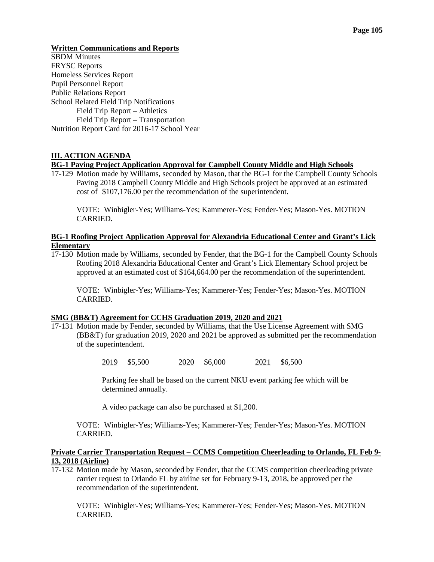#### **Written Communications and Reports**

SBDM Minutes FRYSC Reports Homeless Services Report Pupil Personnel Report Public Relations Report School Related Field Trip Notifications Field Trip Report – Athletics Field Trip Report – Transportation Nutrition Report Card for 2016-17 School Year

## **III. ACTION AGENDA**

#### **BG-1 Paving Project Application Approval for Campbell County Middle and High Schools**

17-129 Motion made by Williams, seconded by Mason, that the BG-1 for the Campbell County Schools Paving 2018 Campbell County Middle and High Schools project be approved at an estimated cost of \$107,176.00 per the recommendation of the superintendent.

VOTE: Winbigler-Yes; Williams-Yes; Kammerer-Yes; Fender-Yes; Mason-Yes. MOTION CARRIED.

## **BG-1 Roofing Project Application Approval for Alexandria Educational Center and Grant's Lick Elementary**

17-130 Motion made by Williams, seconded by Fender, that the BG-1 for the Campbell County Schools Roofing 2018 Alexandria Educational Center and Grant's Lick Elementary School project be approved at an estimated cost of \$164,664.00 per the recommendation of the superintendent.

VOTE: Winbigler-Yes; Williams-Yes; Kammerer-Yes; Fender-Yes; Mason-Yes. MOTION CARRIED.

## **SMG (BB&T) Agreement for CCHS Graduation 2019, 2020 and 2021**

17-131 Motion made by Fender, seconded by Williams, that the Use License Agreement with SMG (BB&T) for graduation 2019, 2020 and 2021 be approved as submitted per the recommendation of the superintendent.

2019 \$5,500 2020 \$6,000 2021 \$6,500

Parking fee shall be based on the current NKU event parking fee which will be determined annually.

A video package can also be purchased at \$1,200.

VOTE: Winbigler-Yes; Williams-Yes; Kammerer-Yes; Fender-Yes; Mason-Yes. MOTION CARRIED.

## **Private Carrier Transportation Request – CCMS Competition Cheerleading to Orlando, FL Feb 9- 13, 2018 (Airline)**

17-132 Motion made by Mason, seconded by Fender, that the CCMS competition cheerleading private carrier request to Orlando FL by airline set for February 9-13, 2018, be approved per the recommendation of the superintendent.

VOTE: Winbigler-Yes; Williams-Yes; Kammerer-Yes; Fender-Yes; Mason-Yes. MOTION CARRIED.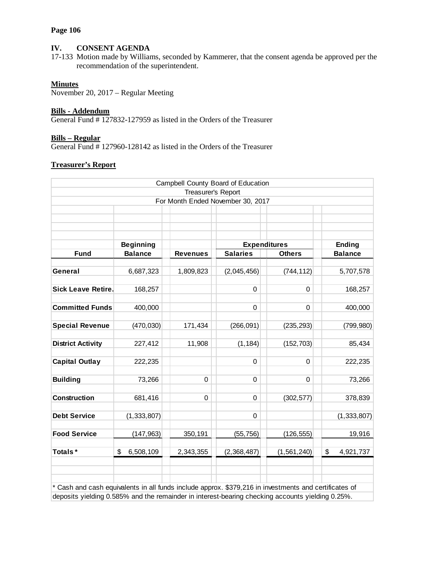#### **Page 106**

# **IV. CONSENT AGENDA**

17-133 Motion made by Williams, seconded by Kammerer, that the consent agenda be approved per the recommendation of the superintendent.

# **Minutes**

November 20, 2017 – Regular Meeting

## **Bills - Addendum**

General Fund # 127832-127959 as listed in the Orders of the Treasurer

# **Bills – Regular**

General Fund # 127960-128142 as listed in the Orders of the Treasurer

## **Treasurer's Report**

|                                                                                                                                                                                                                                                                                                                                                                                                                                                                                |                  |                 | Campbell County Board of Education |               |                 |  |  |  |
|--------------------------------------------------------------------------------------------------------------------------------------------------------------------------------------------------------------------------------------------------------------------------------------------------------------------------------------------------------------------------------------------------------------------------------------------------------------------------------|------------------|-----------------|------------------------------------|---------------|-----------------|--|--|--|
| Treasurer's Report                                                                                                                                                                                                                                                                                                                                                                                                                                                             |                  |                 |                                    |               |                 |  |  |  |
| For Month Ended November 30, 2017                                                                                                                                                                                                                                                                                                                                                                                                                                              |                  |                 |                                    |               |                 |  |  |  |
|                                                                                                                                                                                                                                                                                                                                                                                                                                                                                |                  |                 |                                    |               |                 |  |  |  |
|                                                                                                                                                                                                                                                                                                                                                                                                                                                                                |                  |                 |                                    |               |                 |  |  |  |
|                                                                                                                                                                                                                                                                                                                                                                                                                                                                                |                  |                 |                                    |               |                 |  |  |  |
|                                                                                                                                                                                                                                                                                                                                                                                                                                                                                | <b>Beginning</b> |                 | <b>Expenditures</b>                |               | <b>Ending</b>   |  |  |  |
| <b>Fund</b>                                                                                                                                                                                                                                                                                                                                                                                                                                                                    | <b>Balance</b>   | <b>Revenues</b> | <b>Salaries</b>                    | <b>Others</b> | <b>Balance</b>  |  |  |  |
|                                                                                                                                                                                                                                                                                                                                                                                                                                                                                |                  |                 |                                    |               |                 |  |  |  |
| General                                                                                                                                                                                                                                                                                                                                                                                                                                                                        | 6,687,323        | 1,809,823       | (2,045,456)                        | (744, 112)    | 5,707,578       |  |  |  |
|                                                                                                                                                                                                                                                                                                                                                                                                                                                                                |                  |                 |                                    |               |                 |  |  |  |
| <b>Sick Leave Retire.</b>                                                                                                                                                                                                                                                                                                                                                                                                                                                      | 168,257          |                 | 0                                  | 0             | 168,257         |  |  |  |
| <b>Committed Funds</b>                                                                                                                                                                                                                                                                                                                                                                                                                                                         | 400,000          |                 | $\mathbf 0$                        | $\mathbf 0$   | 400,000         |  |  |  |
|                                                                                                                                                                                                                                                                                                                                                                                                                                                                                |                  |                 |                                    |               |                 |  |  |  |
| <b>Special Revenue</b>                                                                                                                                                                                                                                                                                                                                                                                                                                                         | (470, 030)       | 171,434         | (266, 091)                         | (235, 293)    | (799, 980)      |  |  |  |
|                                                                                                                                                                                                                                                                                                                                                                                                                                                                                |                  |                 |                                    |               |                 |  |  |  |
| <b>District Activity</b>                                                                                                                                                                                                                                                                                                                                                                                                                                                       | 227,412          | 11,908          | (1, 184)                           | (152, 703)    | 85,434          |  |  |  |
|                                                                                                                                                                                                                                                                                                                                                                                                                                                                                |                  |                 |                                    |               |                 |  |  |  |
| <b>Capital Outlay</b>                                                                                                                                                                                                                                                                                                                                                                                                                                                          | 222,235          |                 | 0                                  | 0             | 222,235         |  |  |  |
|                                                                                                                                                                                                                                                                                                                                                                                                                                                                                |                  |                 |                                    |               |                 |  |  |  |
| <b>Building</b>                                                                                                                                                                                                                                                                                                                                                                                                                                                                | 73,266           | 0               | 0                                  | 0             | 73,266          |  |  |  |
| <b>Construction</b>                                                                                                                                                                                                                                                                                                                                                                                                                                                            | 681,416          | 0               | $\mathbf 0$                        | (302, 577)    | 378,839         |  |  |  |
|                                                                                                                                                                                                                                                                                                                                                                                                                                                                                |                  |                 |                                    |               |                 |  |  |  |
| <b>Debt Service</b>                                                                                                                                                                                                                                                                                                                                                                                                                                                            | (1, 333, 807)    |                 | 0                                  |               | (1, 333, 807)   |  |  |  |
|                                                                                                                                                                                                                                                                                                                                                                                                                                                                                |                  |                 |                                    |               |                 |  |  |  |
| <b>Food Service</b>                                                                                                                                                                                                                                                                                                                                                                                                                                                            | (147, 963)       | 350,191         | (55, 756)                          | (126, 555)    | 19,916          |  |  |  |
|                                                                                                                                                                                                                                                                                                                                                                                                                                                                                |                  |                 |                                    |               |                 |  |  |  |
| Totals*                                                                                                                                                                                                                                                                                                                                                                                                                                                                        | \$<br>6,508,109  | 2,343,355       | (2,368,487)                        | (1, 561, 240) | \$<br>4,921,737 |  |  |  |
|                                                                                                                                                                                                                                                                                                                                                                                                                                                                                |                  |                 |                                    |               |                 |  |  |  |
|                                                                                                                                                                                                                                                                                                                                                                                                                                                                                |                  |                 |                                    |               |                 |  |  |  |
| Cash and cash equivalents in all funds include approx. \$379,216 in investments and certificates of                                                                                                                                                                                                                                                                                                                                                                            |                  |                 |                                    |               |                 |  |  |  |
| $\mathcal{L}$ $\mathcal{L}$ $\mathcal{L}$ $\mathcal{L}$ $\mathcal{L}$ $\mathcal{L}$ $\mathcal{L}$ $\mathcal{L}$ $\mathcal{L}$ $\mathcal{L}$ $\mathcal{L}$ $\mathcal{L}$ $\mathcal{L}$ $\mathcal{L}$ $\mathcal{L}$ $\mathcal{L}$ $\mathcal{L}$ $\mathcal{L}$ $\mathcal{L}$ $\mathcal{L}$ $\mathcal{L}$ $\mathcal{L}$ $\mathcal{L}$ $\mathcal{L}$ $\mathcal{$<br>the contract of the contract of the contract of the contract of the contract of the contract of the contract of |                  |                 |                                    |               |                 |  |  |  |

deposits yielding 0.585% and the remainder in interest-bearing checking accounts yielding 0.25%.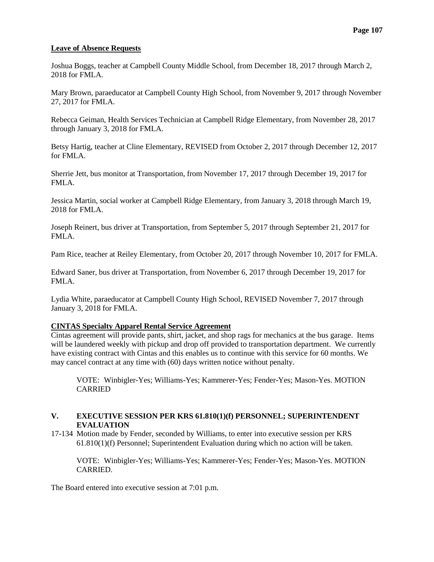## **Leave of Absence Requests**

Joshua Boggs, teacher at Campbell County Middle School, from December 18, 2017 through March 2, 2018 for FMLA.

Mary Brown, paraeducator at Campbell County High School, from November 9, 2017 through November 27, 2017 for FMLA.

Rebecca Geiman, Health Services Technician at Campbell Ridge Elementary, from November 28, 2017 through January 3, 2018 for FMLA.

Betsy Hartig, teacher at Cline Elementary, REVISED from October 2, 2017 through December 12, 2017 for FMLA.

Sherrie Jett, bus monitor at Transportation, from November 17, 2017 through December 19, 2017 for FMLA.

Jessica Martin, social worker at Campbell Ridge Elementary, from January 3, 2018 through March 19, 2018 for FMLA.

Joseph Reinert, bus driver at Transportation, from September 5, 2017 through September 21, 2017 for FMLA.

Pam Rice, teacher at Reiley Elementary, from October 20, 2017 through November 10, 2017 for FMLA.

Edward Saner, bus driver at Transportation, from November 6, 2017 through December 19, 2017 for FMLA.

Lydia White, paraeducator at Campbell County High School, REVISED November 7, 2017 through January 3, 2018 for FMLA.

#### **CINTAS Specialty Apparel Rental Service Agreement**

Cintas agreement will provide pants, shirt, jacket, and shop rags for mechanics at the bus garage. Items will be laundered weekly with pickup and drop off provided to transportation department. We currently have existing contract with Cintas and this enables us to continue with this service for 60 months. We may cancel contract at any time with (60) days written notice without penalty.

VOTE: Winbigler-Yes; Williams-Yes; Kammerer-Yes; Fender-Yes; Mason-Yes. MOTION CARRIED

# **V. EXECUTIVE SESSION PER KRS 61.810(1)(f) PERSONNEL; SUPERINTENDENT EVALUATION**

17-134 Motion made by Fender, seconded by Williams, to enter into executive session per KRS 61.810(1)(f) Personnel; Superintendent Evaluation during which no action will be taken.

VOTE: Winbigler-Yes; Williams-Yes; Kammerer-Yes; Fender-Yes; Mason-Yes. MOTION CARRIED.

The Board entered into executive session at 7:01 p.m.